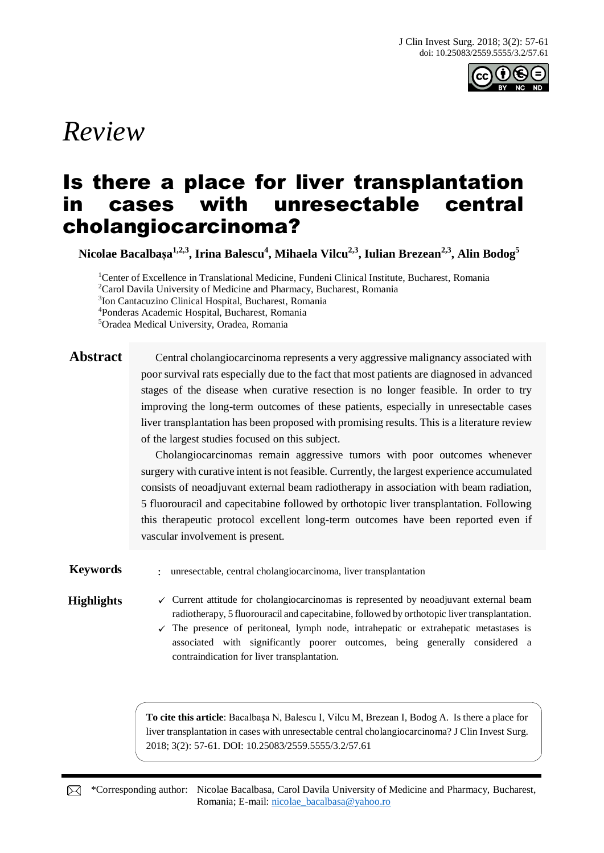

# *Review*

# Is there a place for liver transplantation in cases with unresectable central cholangiocarcinoma?

**Nicolae Bacalbașa 1,2,3, Irina Balescu<sup>4</sup> , Mihaela Vilcu2,3, Iulian Brezean2,3 , Alin Bodog<sup>5</sup>**

Center of Excellence in Translational Medicine, Fundeni Clinical Institute, Bucharest, Romania <sup>2</sup>Carol Davila University of Medicine and Pharmacy, Bucharest, Romania Ion Cantacuzino Clinical Hospital, Bucharest, Romania Ponderas Academic Hospital, Bucharest, Romania Oradea Medical University, Oradea, Romania

Abstract Central cholangiocarcinoma represents a very aggressive malignancy associated with poor survival rats especially due to the fact that most patients are diagnosed in advanced stages of the disease when curative resection is no longer feasible. In order to try improving the long-term outcomes of these patients, especially in unresectable cases liver transplantation has been proposed with promising results. This is a literature review of the largest studies focused on this subject.

> Cholangiocarcinomas remain aggressive tumors with poor outcomes whenever surgery with curative intent is not feasible. Currently, the largest experience accumulated consists of neoadjuvant external beam radiotherapy in association with beam radiation, 5 fluorouracil and capecitabine followed by orthotopic liver transplantation. Following this therapeutic protocol excellent long-term outcomes have been reported even if vascular involvement is present.

**Keywords** : unresectable, central cholangiocarcinoma, liver transplantation

**Highlights**  $\checkmark$  Current attitude for cholangiocarcinomas is represented by neoadjuvant external beam radiotherapy, 5 fluorouracil and capecitabine, followed by orthotopic liver transplantation.

> $\checkmark$  The presence of peritoneal, lymph node, intrahepatic or extrahepatic metastases is associated with significantly poorer outcomes, being generally considered a contraindication for liver transplantation.

**To cite this article**: Bacalbașa N, Balescu I, Vilcu M, Brezean I, Bodog A. Is there a place for liver transplantation in cases with unresectable central cholangiocarcinoma? J Clin Invest Surg. 2018; 3(2): 57-61. DOI: 10.25083/2559.5555/3.2/57.61

\*Corresponding author: Nicolae Bacalbasa, Carol Davila University of Medicine and Pharmacy, Bucharest, Romania; E-mail: [nicolae\\_bacalbasa@yahoo.ro](mailto:nicolae_bacalbasa@yahoo.ro)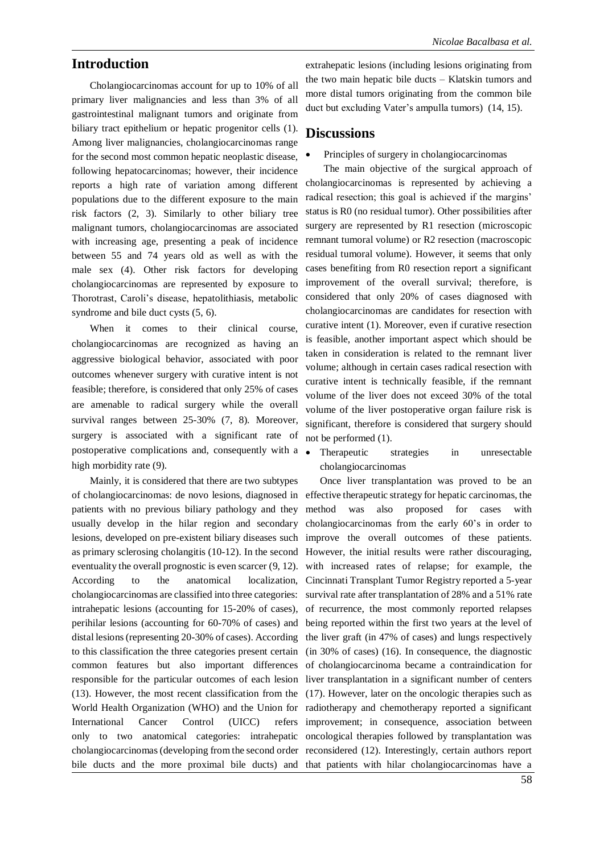# **Introduction**

Cholangiocarcinomas account for up to 10% of all primary liver malignancies and less than 3% of all gastrointestinal malignant tumors and originate from biliary tract epithelium or hepatic progenitor cells (1). Among liver malignancies, cholangiocarcinomas range for the second most common hepatic neoplastic disease, following hepatocarcinomas; however, their incidence reports a high rate of variation among different populations due to the different exposure to the main risk factors (2, 3). Similarly to other biliary tree malignant tumors, cholangiocarcinomas are associated with increasing age, presenting a peak of incidence between 55 and 74 years old as well as with the male sex (4). Other risk factors for developing cholangiocarcinomas are represented by exposure to Thorotrast, Caroli's disease, hepatolithiasis, metabolic syndrome and bile duct cysts (5, 6).

When it comes to their clinical course, cholangiocarcinomas are recognized as having an aggressive biological behavior, associated with poor outcomes whenever surgery with curative intent is not feasible; therefore, is considered that only 25% of cases are amenable to radical surgery while the overall survival ranges between 25-30% (7, 8). Moreover, surgery is associated with a significant rate of postoperative complications and, consequently with a high morbidity rate (9).

Mainly, it is considered that there are two subtypes of cholangiocarcinomas: de novo lesions, diagnosed in effective therapeutic strategy for hepatic carcinomas, the patients with no previous biliary pathology and they usually develop in the hilar region and secondary lesions, developed on pre-existent biliary diseases such as primary sclerosing cholangitis (10-12). In the second However, the initial results were rather discouraging, eventuality the overall prognostic is even scarcer (9, 12). According to the anatomical localization, cholangiocarcinomas are classified into three categories: intrahepatic lesions (accounting for 15-20% of cases), perihilar lesions (accounting for 60-70% of cases) and distal lesions (representing 20-30% of cases). According to this classification the three categories present certain common features but also important differences responsible for the particular outcomes of each lesion liver transplantation in a significant number of centers (13). However, the most recent classification from the (17). However, later on the oncologic therapies such as World Health Organization (WHO) and the Union for radiotherapy and chemotherapy reported a significant International Cancer Control (UICC) only to two anatomical categories: intrahepatic oncological therapies followed by transplantation was cholangiocarcinomas (developing from the second order reconsidered (12). Interestingly, certain authors report bile ducts and the more proximal bile ducts) and that patients with hilar cholangiocarcinomas have a

extrahepatic lesions (including lesions originating from the two main hepatic bile ducts – Klatskin tumors and more distal tumors originating from the common bile duct but excluding Vater's ampulla tumors) (14, 15).

# **Discussions**

### • Principles of surgery in cholangiocarcinomas

The main objective of the surgical approach of cholangiocarcinomas is represented by achieving a radical resection; this goal is achieved if the margins' status is R0 (no residual tumor). Other possibilities after surgery are represented by R1 resection (microscopic remnant tumoral volume) or R2 resection (macroscopic residual tumoral volume). However, it seems that only cases benefiting from R0 resection report a significant improvement of the overall survival; therefore, is considered that only 20% of cases diagnosed with cholangiocarcinomas are candidates for resection with curative intent (1). Moreover, even if curative resection is feasible, another important aspect which should be taken in consideration is related to the remnant liver volume; although in certain cases radical resection with curative intent is technically feasible, if the remnant volume of the liver does not exceed 30% of the total volume of the liver postoperative organ failure risk is significant, therefore is considered that surgery should not be performed (1).

• Therapeutic strategies in unresectable cholangiocarcinomas

Once liver transplantation was proved to be an method was also proposed for cases with cholangiocarcinomas from the early 60's in order to improve the overall outcomes of these patients. with increased rates of relapse; for example, the Cincinnati Transplant Tumor Registry reported a 5-year survival rate after transplantation of 28% and a 51% rate of recurrence, the most commonly reported relapses being reported within the first two years at the level of the liver graft (in 47% of cases) and lungs respectively (in 30% of cases) (16). In consequence, the diagnostic of cholangiocarcinoma became a contraindication for improvement; in consequence, association between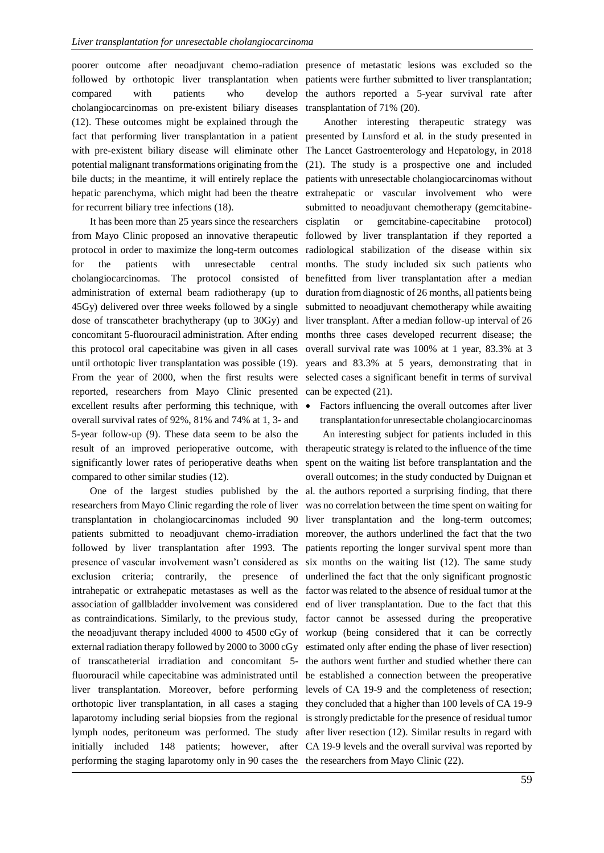poorer outcome after neoadjuvant chemo-radiation presence of metastatic lesions was excluded so the followed by orthotopic liver transplantation when patients were further submitted to liver transplantation; compared with patients who develop cholangiocarcinomas on pre-existent biliary diseases (12). These outcomes might be explained through the fact that performing liver transplantation in a patient with pre-existent biliary disease will eliminate other potential malignant transformations originating from the hepatic parenchyma, which might had been the theatre for recurrent biliary tree infections (18).

It has been more than 25 years since the researchers from Mayo Clinic proposed an innovative therapeutic protocol in order to maximize the long-term outcomes for the patients with unresectable central cholangiocarcinomas. The protocol consisted of administration of external beam radiotherapy (up to 45Gy) delivered over three weeks followed by a single dose of transcatheter brachytherapy (up to 30Gy) and concomitant 5-fluorouracil administration. After ending months three cases developed recurrent disease; the this protocol oral capecitabine was given in all cases overall survival rate was 100% at 1 year, 83.3% at 3 until orthotopic liver transplantation was possible (19). years and 83.3% at 5 years, demonstrating that in From the year of 2000, when the first results were selected cases a significant benefit in terms of survival reported, researchers from Mayo Clinic presented excellent results after performing this technique, with overall survival rates of 92%, 81% and 74% at 1, 3- and 5-year follow-up (9). These data seem to be also the significantly lower rates of perioperative deaths when compared to other similar studies (12).

researchers from Mayo Clinic regarding the role of liver transplantation in cholangiocarcinomas included 90 liver transplantation and the long-term outcomes; patients submitted to neoadjuvant chemo-irradiation moreover, the authors underlined the fact that the two followed by liver transplantation after 1993. The patients reporting the longer survival spent more than presence of vascular involvement wasn't considered as six months on the waiting list (12). The same study exclusion criteria; contrarily, the presence of underlined the fact that the only significant prognostic intrahepatic or extrahepatic metastases as well as the factor was related to the absence of residual tumor at the association of gallbladder involvement was considered end of liver transplantation. Due to the fact that this as contraindications. Similarly, to the previous study, factor cannot be assessed during the preoperative the neoadjuvant therapy included 4000 to 4500 cGy of workup (being considered that it can be correctly external radiation therapy followed by 2000 to 3000 cGy estimated only after ending the phase of liver resection) of transcatheterial irradiation and concomitant 5- the authors went further and studied whether there can fluorouracil while capecitabine was administrated until be established a connection between the preoperative liver transplantation. Moreover, before performing levels of CA 19-9 and the completeness of resection; laparotomy including serial biopsies from the regional is strongly predictable for the presence of residual tumor lymph nodes, peritoneum was performed. The study after liver resection (12). Similar results in regard with initially included 148 patients; however, after CA 19-9 levels and the overall survival was reported by performing the staging laparotomy only in 90 cases the the researchers from Mayo Clinic (22).

the authors reported a 5-year survival rate after transplantation of 71% (20).

bile ducts; in the meantime, it will entirely replace the patients with unresectable cholangiocarcinomas without Another interesting therapeutic strategy was presented by Lunsford et al. in the study presented in The Lancet Gastroenterology and Hepatology, in 2018 (21). The study is a prospective one and included extrahepatic or vascular involvement who were submitted to neoadjuvant chemotherapy (gemcitabinecisplatin or gemcitabine-capecitabine protocol) followed by liver transplantation if they reported a radiological stabilization of the disease within six months. The study included six such patients who benefitted from liver transplantation after a median duration from diagnostic of 26 months, all patients being submitted to neoadjuvant chemotherapy while awaiting liver transplant. After a median follow-up interval of 26 can be expected (21).

> • Factors influencing the overall outcomes after liver transplantationfor unresectable cholangiocarcinomas

result of an improved perioperative outcome, with therapeutic strategy is related to the influence of the time One of the largest studies published by the al. the authors reported a surprising finding, that there orthotopic liver transplantation, in all cases a staging they concluded that a higher than 100 levels of CA 19-9 An interesting subject for patients included in this spent on the waiting list before transplantation and the overall outcomes; in the study conducted by Duignan et was no correlation between the time spent on waiting for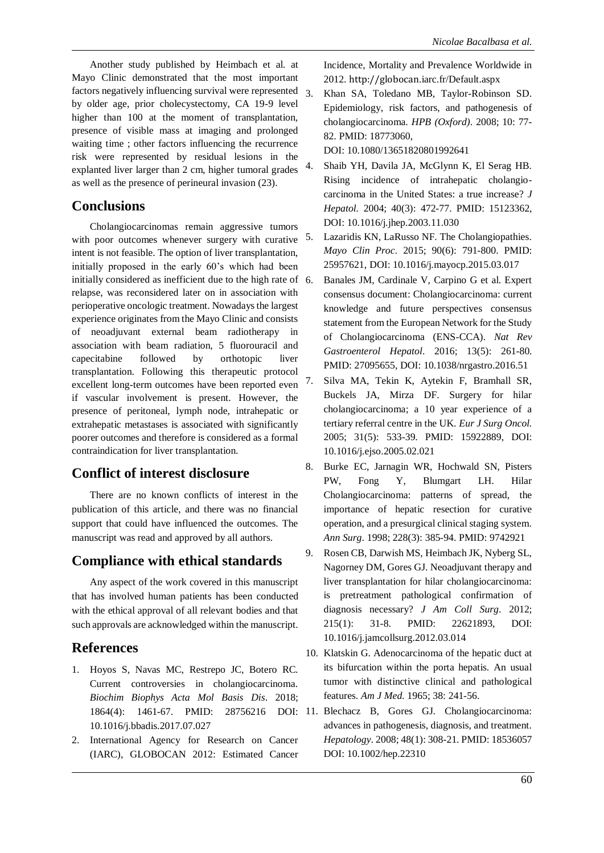Another study published by Heimbach et al. at Mayo Clinic demonstrated that the most important factors negatively influencing survival were represented by older age, prior cholecystectomy, CA 19-9 level higher than 100 at the moment of transplantation, presence of visible mass at imaging and prolonged waiting time ; other factors influencing the recurrence risk were represented by residual lesions in the explanted liver larger than 2 cm, higher tumoral grades as well as the presence of perineural invasion (23).

## **Conclusions**

Cholangiocarcinomas remain aggressive tumors with poor outcomes whenever surgery with curative intent is not feasible. The option of liver transplantation, initially proposed in the early 60's which had been initially considered as inefficient due to the high rate of 6. relapse, was reconsidered later on in association with perioperative oncologic treatment. Nowadays the largest experience originates from the Mayo Clinic and consists of neoadjuvant external beam radiotherapy in association with beam radiation, 5 fluorouracil and capecitabine followed by orthotopic liver transplantation. Following this therapeutic protocol excellent long-term outcomes have been reported even if vascular involvement is present. However, the presence of peritoneal, lymph node, intrahepatic or extrahepatic metastases is associated with significantly poorer outcomes and therefore is considered as a formal contraindication for liver transplantation.

## **Conflict of interest disclosure**

There are no known conflicts of interest in the publication of this article, and there was no financial support that could have influenced the outcomes. The manuscript was read and approved by all authors.

# **Compliance with ethical standards**

Any aspect of the work covered in this manuscript that has involved human patients has been conducted with the ethical approval of all relevant bodies and that such approvals are acknowledged within the manuscript.

# **References**

- 1. Hoyos S, Navas MC, Restrepo JC, Botero RC. Current controversies in cholangiocarcinoma. *Biochim Biophys Acta Mol Basis Dis*. 2018; 1864(4): 1461-67. PMID: 10.1016/j.bbadis.2017.07.027
- 2. International Agency for Research on Cancer (IARC), GLOBOCAN 2012: Estimated Cancer

Incidence, Mortality and Prevalence Worldwide in 2012. [http://globocan](http://globocan/).iarc.fr/Default.aspx

3. Khan SA, Toledano MB, Taylor-Robinson SD. Epidemiology, risk factors, and pathogenesis of cholangiocarcinoma. *HPB (Oxford)*. 2008; 10: 77- 82. PMID: 18773060,

DOI: 10.1080/13651820801992641

- 4. Shaib YH, Davila JA, McGlynn K, El Serag HB. Rising incidence of intrahepatic cholangiocarcinoma in the United States: a true increase? *J Hepatol.* 2004; 40(3): 472-77. PMID: 15123362, DOI: 10.1016/j.jhep.2003.11.030
- 5. Lazaridis KN, LaRusso NF. The Cholangiopathies. *Mayo Clin Proc*. 2015; 90(6): 791-800. PMID: 25957621, DOI: 10.1016/j.mayocp.2015.03.017
- 6. Banales JM, Cardinale V, Carpino G et al. Expert consensus document: Cholangiocarcinoma: current knowledge and future perspectives consensus statement from the European Network for the Study of Cholangiocarcinoma (ENS-CCA). *Nat Rev Gastroenterol Hepatol*. 2016; 13(5): 261-80. PMID: 27095655, DOI: 10.1038/nrgastro.2016.51
- 7. Silva MA, Tekin K, Aytekin F, Bramhall SR, Buckels JA, Mirza DF. Surgery for hilar cholangiocarcinoma; a 10 year experience of a tertiary referral centre in the UK. *Eur J Surg Oncol.* 2005; 31(5): 533-39. PMID: 15922889, DOI: 10.1016/j.ejso.2005.02.021
- 8. Burke EC, Jarnagin WR, Hochwald SN, Pisters PW, Fong Y, Blumgart LH. Hilar Cholangiocarcinoma: patterns of spread, the importance of hepatic resection for curative operation, and a presurgical clinical staging system. *Ann Surg*. 1998; 228(3): 385-94. PMID: 9742921
- 9. Rosen CB, Darwish MS, Heimbach JK, Nyberg SL, Nagorney DM, Gores GJ. Neoadjuvant therapy and liver transplantation for hilar cholangiocarcinoma: is pretreatment pathological confirmation of diagnosis necessary? *J Am Coll Surg*. 2012; 215(1): 31-8. PMID: 22621893, DOI: 10.1016/j.jamcollsurg.2012.03.014
- 10. Klatskin G. Adenocarcinoma of the hepatic duct at its bifurcation within the porta hepatis. An usual tumor with distinctive clinical and pathological features. *Am J Med*. 1965; 38: 241-56.
- 28756216 DOI: 11. Blechacz B, Gores GJ. Cholangiocarcinoma: advances in pathogenesis, diagnosis, and treatment. *Hepatology*. 2008; 48(1): 308-21. PMID: 18536057 DOI: 10.1002/hep.22310